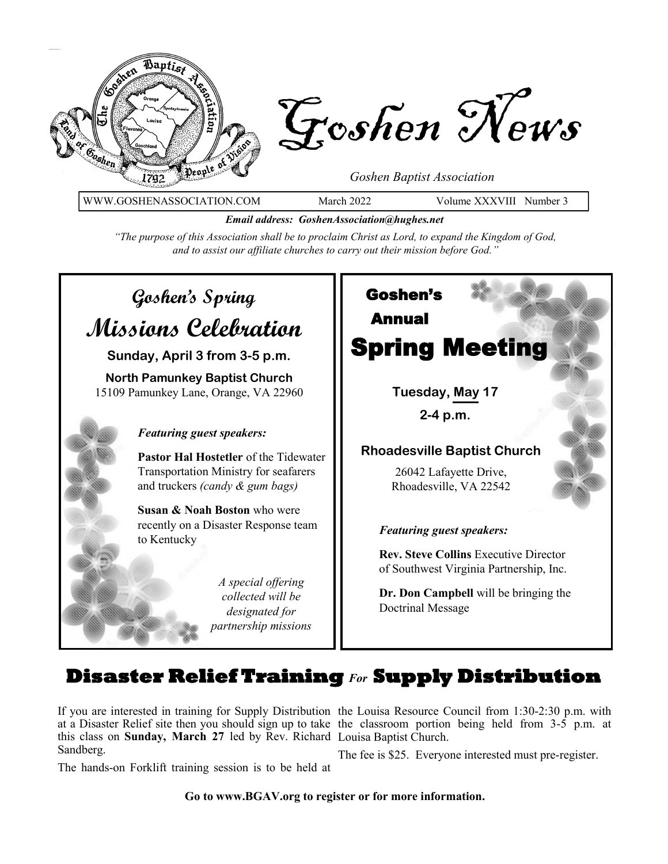

WWW.GOSHENASSOCIATION.COM March 2022 Volume XXXVIII Number 3

*Email address: GoshenAssociation@hughes.net*

*"The purpose of this Association shall be to proclaim Christ as Lord, to expand the Kingdom of God, and to assist our affiliate churches to carry out their mission before God."*

# **Goshen's Spring Missions Celebration**

**Sunday, April 3 from 3-5 p.m.**

**North Pamunkey Baptist Church** 15109 Pamunkey Lane, Orange, VA 22960

#### *Featuring guest speakers:*

**Pastor Hal Hostetler** of the Tidewater Transportation Ministry for seafarers and truckers *(candy & gum bags)*

**Susan & Noah Boston** who were recently on a Disaster Response team to Kentucky

> *A special offering collected will be designated for partnership missions*



## **Disaster Relief Training** *For* **Supply Distribution**

If you are interested in training for Supply Distribution the Louisa Resource Council from 1:30-2:30 p.m. with at a Disaster Relief site then you should sign up to take the classroom portion being held from 3-5 p.m. at this class on **Sunday, March 27** led by Rev. Richard Louisa Baptist Church. Sandberg.

The hands-on Forklift training session is to be held at

The fee is \$25. Everyone interested must pre-register.

**Go to www.BGAV.org to register or for more information.**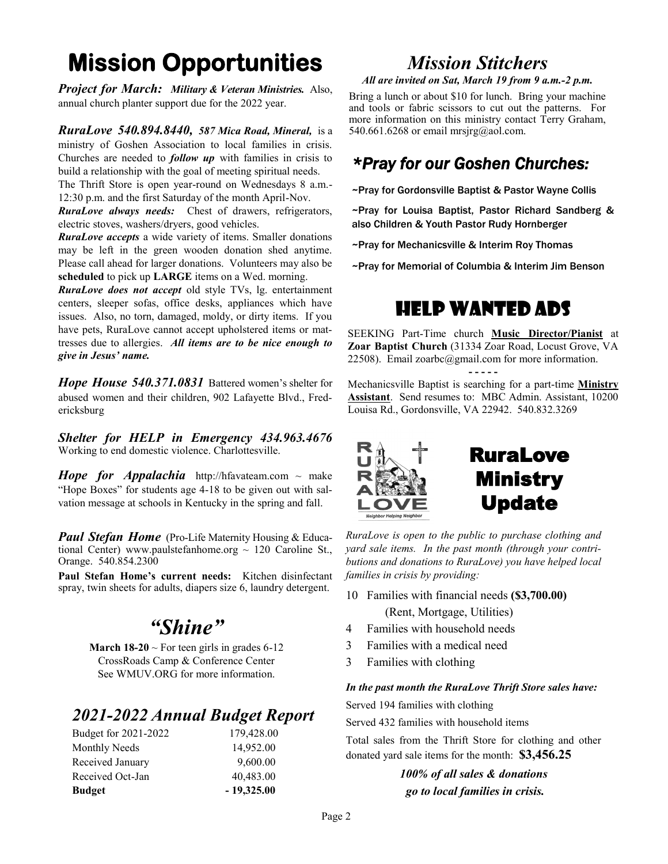## **Mission Opportunities**

*Project for March: Military & Veteran Ministries.*Also, annual church planter support due for the 2022 year.

*RuraLove 540.894.8440, 587 Mica Road, Mineral,* is a ministry of Goshen Association to local families in crisis. Churches are needed to *follow up* with families in crisis to build a relationship with the goal of meeting spiritual needs. The Thrift Store is open year-round on Wednesdays 8 a.m.-

12:30 p.m. and the first Saturday of the month April-Nov.

*RuraLove always needs:* Chest of drawers, refrigerators, electric stoves, washers/dryers, good vehicles.

*RuraLove accepts* a wide variety of items. Smaller donations may be left in the green wooden donation shed anytime. Please call ahead for larger donations. Volunteers may also be **scheduled** to pick up **LARGE** items on a Wed. morning.

*RuraLove does not accept* old style TVs, lg. entertainment centers, sleeper sofas, office desks, appliances which have issues. Also, no torn, damaged, moldy, or dirty items. If you have pets, RuraLove cannot accept upholstered items or mattresses due to allergies. *All items are to be nice enough to give in Jesus' name.* 

*Hope House 540.371.0831* Battered women's shelter for abused women and their children, 902 Lafayette Blvd., Fredericksburg

*Shelter for HELP in Emergency 434.963.4676*  Working to end domestic violence. Charlottesville.

*Hope for Appalachia* http://hfavateam.com ~ make "Hope Boxes" for students age 4-18 to be given out with salvation message at schools in Kentucky in the spring and fall.

*Paul Stefan Home* (Pro-Life Maternity Housing & Educational Center) www.paulstefanhome.org  $\sim$  120 Caroline St., Orange. 540.854.2300

**Paul Stefan Home's current needs:** Kitchen disinfectant spray, twin sheets for adults, diapers size 6, laundry detergent.

## *"Shine"*

**March 18-20**  $\sim$  For teen girls in grades 6-12 CrossRoads Camp & Conference Center See WMUV.ORG for more information.

### *2021-2022 Annual Budget Report*

## *Mission Stitchers*

*All are invited on Sat, March 19 from 9 a.m.-2 p.m.* 

Bring a lunch or about \$10 for lunch. Bring your machine and tools or fabric scissors to cut out the patterns. For more information on this ministry contact Terry Graham, 540.661.6268 or email mrsjrg@aol.com.

### *\*Pray for our Goshen Churches:*

~Pray for Gordonsville Baptist & Pastor Wayne Collis

~Pray for Louisa Baptist, Pastor Richard Sandberg & also Children & Youth Pastor Rudy Hornberger

~Pray for Mechanicsville & Interim Roy Thomas

~Pray for Memorial of Columbia & Interim Jim Benson

## Help Wanted Ads

SEEKING Part-Time church **Music Director/Pianist** at **Zoar Baptist Church** (31334 Zoar Road, Locust Grove, VA 22508). Email zoarbc@gmail.com for more information.

**- - - - -**

Mechanicsville Baptist is searching for a part-time **Ministry Assistant**. Send resumes to: MBC Admin. Assistant, 10200 Louisa Rd., Gordonsville, VA 22942. 540.832.3269





*RuraLove is open to the public to purchase clothing and yard sale items. In the past month (through your contributions and donations to RuraLove) you have helped local families in crisis by providing:*

- 10 Families with financial needs **(\$3,700.00)** (Rent, Mortgage, Utilities)
- 4 Families with household needs
- 3 Families with a medical need
- 3 Families with clothing

#### *In the past month the RuraLove Thrift Store sales have:*

Served 194 families with clothing

Served 432 families with household items

Total sales from the Thrift Store for clothing and other donated yard sale items for the month: **\$3,456.25**

> *100% of all sales & donations go to local families in crisis.*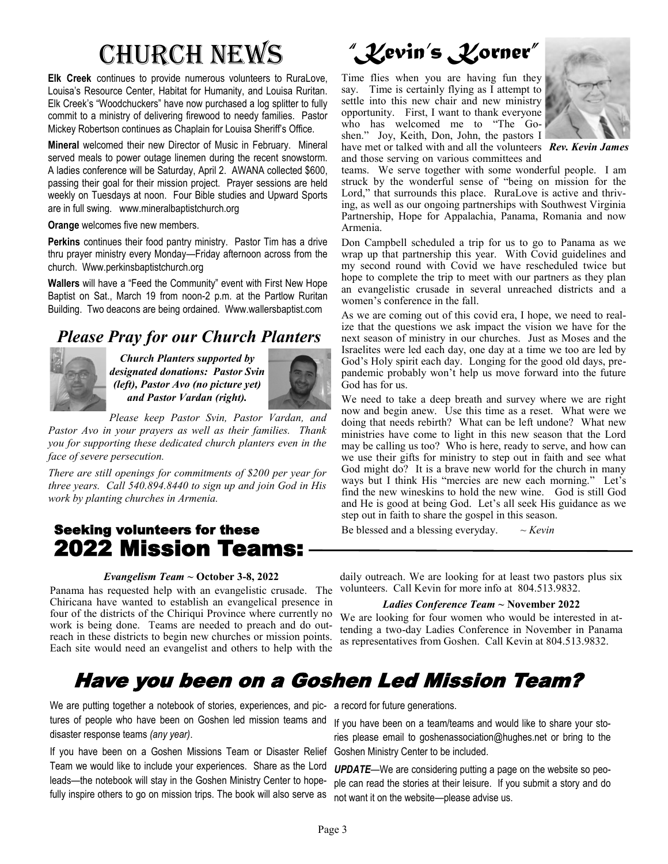# Church News

**Elk Creek** continues to provide numerous volunteers to RuraLove, Louisa's Resource Center, Habitat for Humanity, and Louisa Ruritan. Elk Creek's "Woodchuckers" have now purchased a log splitter to fully commit to a ministry of delivering firewood to needy families. Pastor Mickey Robertson continues as Chaplain for Louisa Sheriff's Office.

**Mineral** welcomed their new Director of Music in February. Mineral served meals to power outage linemen during the recent snowstorm. A ladies conference will be Saturday, April 2. AWANA collected \$600, passing their goal for their mission project. Prayer sessions are held weekly on Tuesdays at noon. Four Bible studies and Upward Sports are in full swing. www.mineralbaptistchurch.org

**Orange** welcomes five new members.

**Perkins** continues their food pantry ministry. Pastor Tim has a drive thru prayer ministry every Monday—Friday afternoon across from the church. Www.perkinsbaptistchurch.org

**Wallers** will have a "Feed the Community" event with First New Hope Baptist on Sat., March 19 from noon-2 p.m. at the Partlow Ruritan Building. Two deacons are being ordained. Www.wallersbaptist.com

## *Please Pray for our Church Planters*



*Church Planters supported by designated donations: Pastor Svin (left), Pastor Avo (no picture yet) and Pastor Vardan (right).*



*Please keep Pastor Svin, Pastor Vardan, and Pastor Avo in your prayers as well as their families. Thank you for supporting these dedicated church planters even in the face of severe persecution.*

*There are still openings for commitments of \$200 per year for three years. Call 540.894.8440 to sign up and join God in His work by planting churches in Armenia.* 

### Seeking volunteers for these 2022 Mission Teams:

#### *Evangelism Team ~* **October 3-8, 2022**

Panama has requested help with an evangelistic crusade. The Chiricana have wanted to establish an evangelical presence in four of the districts of the Chiriqui Province where currently no work is being done. Teams are needed to preach and do outreach in these districts to begin new churches or mission points. Each site would need an evangelist and others to help with the

## *"Kevin's Korner"*

Time flies when you are having fun they say. Time is certainly flying as I attempt to settle into this new chair and new ministry opportunity. First, I want to thank everyone who has welcomed me to "The Goshen." Joy, Keith, Don, John, the pastors I have met or talked with and all the volunteers *Rev. Kevin James*

and those serving on various committees and



teams. We serve together with some wonderful people. I am struck by the wonderful sense of "being on mission for the Lord," that surrounds this place. RuraLove is active and thriving, as well as our ongoing partnerships with Southwest Virginia Partnership, Hope for Appalachia, Panama, Romania and now Armenia.

Don Campbell scheduled a trip for us to go to Panama as we wrap up that partnership this year. With Covid guidelines and my second round with Covid we have rescheduled twice but hope to complete the trip to meet with our partners as they plan an evangelistic crusade in several unreached districts and a women's conference in the fall.

As we are coming out of this covid era, I hope, we need to realize that the questions we ask impact the vision we have for the next season of ministry in our churches. Just as Moses and the Israelites were led each day, one day at a time we too are led by God's Holy spirit each day. Longing for the good old days, prepandemic probably won't help us move forward into the future God has for us.

We need to take a deep breath and survey where we are right now and begin anew. Use this time as a reset. What were we doing that needs rebirth? What can be left undone? What new ministries have come to light in this new season that the Lord may be calling us too? Who is here, ready to serve, and how can we use their gifts for ministry to step out in faith and see what God might do? It is a brave new world for the church in many ways but I think His "mercies are new each morning." Let's find the new wineskins to hold the new wine. God is still God and He is good at being God. Let's all seek His guidance as we step out in faith to share the gospel in this season.

Be blessed and a blessing everyday.  $\sim$  *Kevin* 

daily outreach. We are looking for at least two pastors plus six volunteers. Call Kevin for more info at 804.513.9832.

#### *Ladies Conference Team ~* **November 2022**

We are looking for four women who would be interested in attending a two-day Ladies Conference in November in Panama as representatives from Goshen. Call Kevin at 804.513.9832.

## Have you been on a Goshen Led Mission Team?

We are putting together a notebook of stories, experiences, and pic-a record for future generations. tures of people who have been on Goshen led mission teams and disaster response teams *(any year)*.

If you have been on a Goshen Missions Team or Disaster Relief Goshen Ministry Center to be included. Team we would like to include your experiences. Share as the Lord leads—the notebook will stay in the Goshen Ministry Center to hopefully inspire others to go on mission trips. The book will also serve as

If you have been on a team/teams and would like to share your stories please email to goshenassociation@hughes.net or bring to the

*UPDATE*—We are considering putting a page on the website so people can read the stories at their leisure. If you submit a story and do not want it on the website—please advise us.